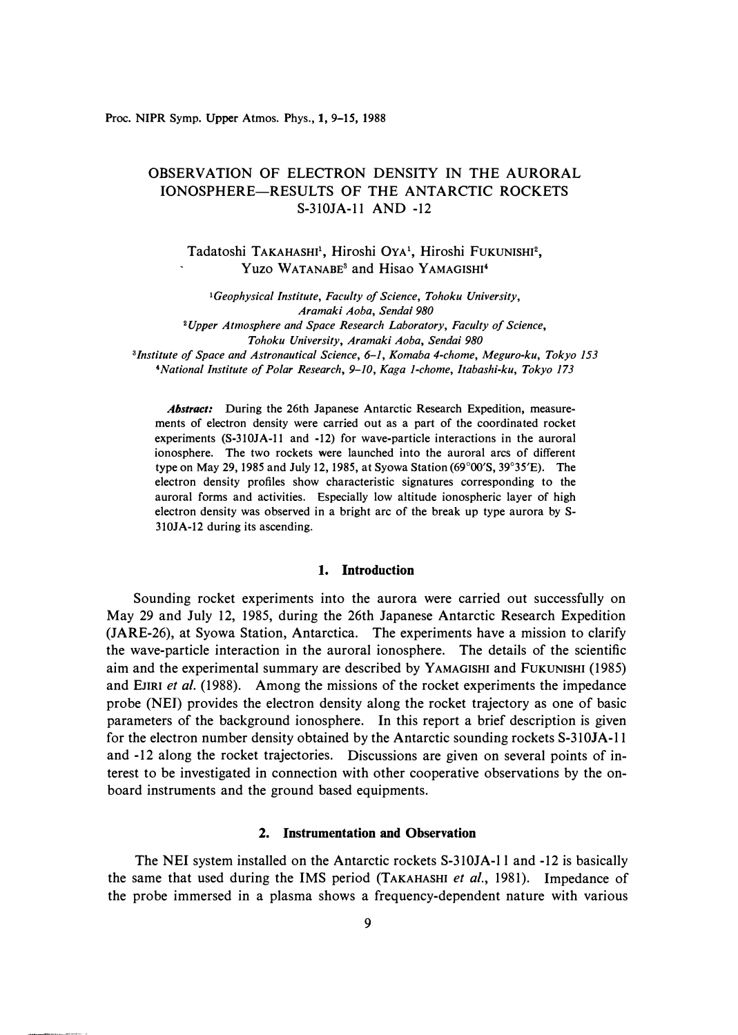Proc. NIPR Symp. Upper Atmos. Phys., 1, 9-15, 1988

# OBSERVATION OF ELECTRON DENSITY IN THE AURORAL IONOSPHERE-RESULTS OF THE ANTARCTIC ROCKETS S-3IOJA-11 AND -12

Tadatoshi TAKAHASHI<sup>1</sup>, Hiroshi OYA<sup>1</sup>, Hiroshi FUKUNISHI<sup>2</sup>, Yuzo WATANABE**3** and Hisao YAMAGISHI**<sup>4</sup>**

*<sup>1</sup>Geophysical Institute, Faculty of Science, Tohoku University, Aramaki Aoba, Sendai 980 <sup>2</sup>Upper Atmosphere and Space Research Laboratory, Faculty of Science, Tohoku University, Aramaki Aoba, Sendai 980* 

*3 /nstitute of Space and Astronautical Science, 6-1, Komaba 4-chome, Meguro-ku, Tokyo 153 <sup>4</sup>National Institute of Polar Research, 9-10, Kaga 1-chome, ltabashi-ku, Tokyo 173* 

*Abstract:* During the 26th Japanese Antarctic Research Expedition, measurements of electron density were carried out as a part of the coordinated rocket experiments (S-310JA-11 and -12) for wave-particle interactions in the auroral ionosphere. The two rockets were launched into the auroral arcs of different type on May 29, 1985 and July 12, 1985, at Syowa Station (69°00'S, 39° 35'E). The electron density profiles show characteristic signatures corresponding to the auroral forms and activities. Especially low altitude ionospheric layer of high electron density was observed in a bright arc of the break up type aurora by S-310JA-12 during its ascending.

### **1. Introduction**

Sounding rocket experiments into the aurora were carried out successfully on May 29 and July 12, 1985, during the 26th Japanese Antarctic Research Expedition (JARE-26), at Syowa Station, Antarctica. The experiments have a mission to clarify the wave-particle interaction in the auroral ionosphere. The details of the scientific aim and the experimental summary are described by YAMAGISHI and FuKUNISHI (1985) and EJIRI *et al.* (1988). Among the missions of the rocket experiments the impedance probe (NEJ) provides the electron density along the rocket trajectory as one of basic parameters of the background ionosphere. In this report a brief description is given for the electron number density obtained by the Antarctic sounding rockets S-3IOJA-l 1 and -12 along the rocket trajectories. Discussions are given on several points of interest to be investigated in connection with other cooperative observations by the onboard instruments and the ground based equipments.

### **2. Instrumentation and Observation**

The NEI system installed on the Antarctic rockets S-3IOJA-ll and -12 is basically the same that used during the IMS period (TAKAHASHI *et al.,* 1981). Impedance of the probe immersed in a plasma shows a frequency-dependent nature with various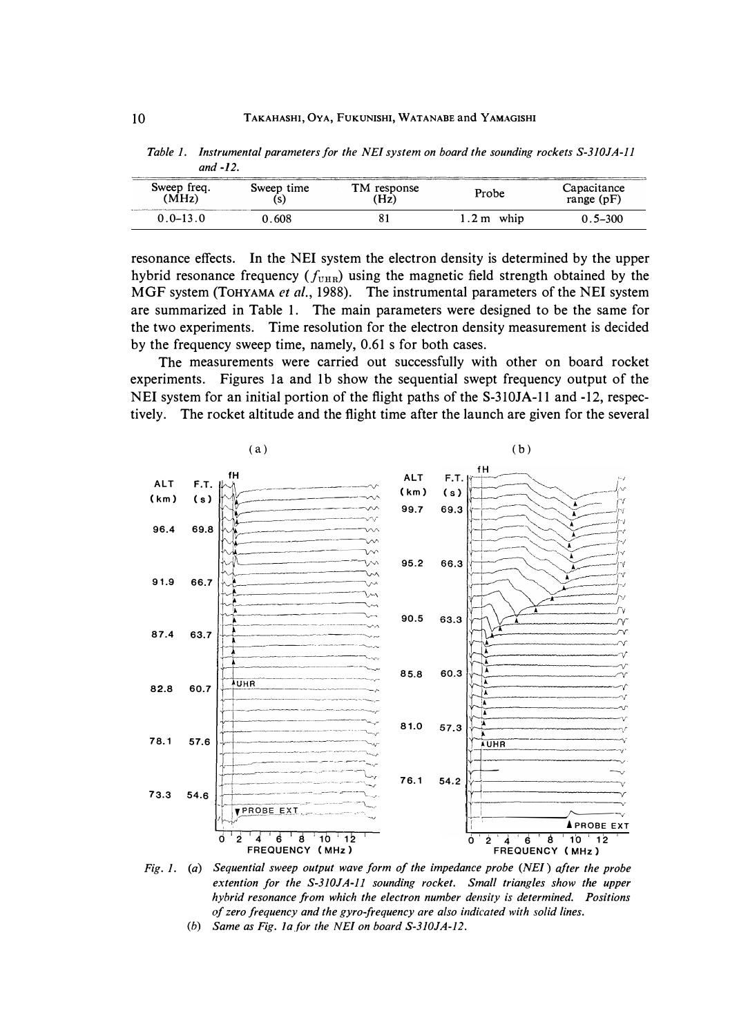| Sweep freq.<br>(MHz) | Sweep time | TM response<br>'Hz) | Probe      | Capacitance<br>range $(pF)$ |
|----------------------|------------|---------------------|------------|-----------------------------|
| $0.0 - 13.0$         | 0.608      | 81                  | 1.2 m whip | 0.5–300                     |

*Table 1. Instrumental parameters for the NE! system on board the sounding rockets S-310JA-ll and -12.* 

resonance effects. In the NEI system the electron density is determined by the upper hybrid resonance frequency  $(f_{\text{UHR}})$  using the magnetic field strength obtained by the MGF system (ToHYAMA *et al.,* 1988). The instrumental parameters of the NEI system are summarized in Table 1. The main parameters were designed to be the same for the two experiments. Time resolution for the electron density measurement is decided by the frequency sweep time, namely, 0.61 s for both cases.

The measurements were carried out successfully with other on board rocket experiments. Figures 1a and 1b show the sequential swept frequency output of the NEI system for an initial portion of the flight paths of the S-3IOJA-11 and -12, respectively. The rocket altitude and the flight time after the launch are given for the several



*Fig. 1. (a) Sequential sweep output wave form of the impedance probe (NE!) after the probe extention for the S-310JA-ll sounding rocket. Small triangles show the upper hybrid resonance from which the electron number density is determined. Positions of zero frequency and the gyro-frequency are also indicated with solid lines.* 

(b) *Same as Fig. la.for the NE! on board S-310JA-12.*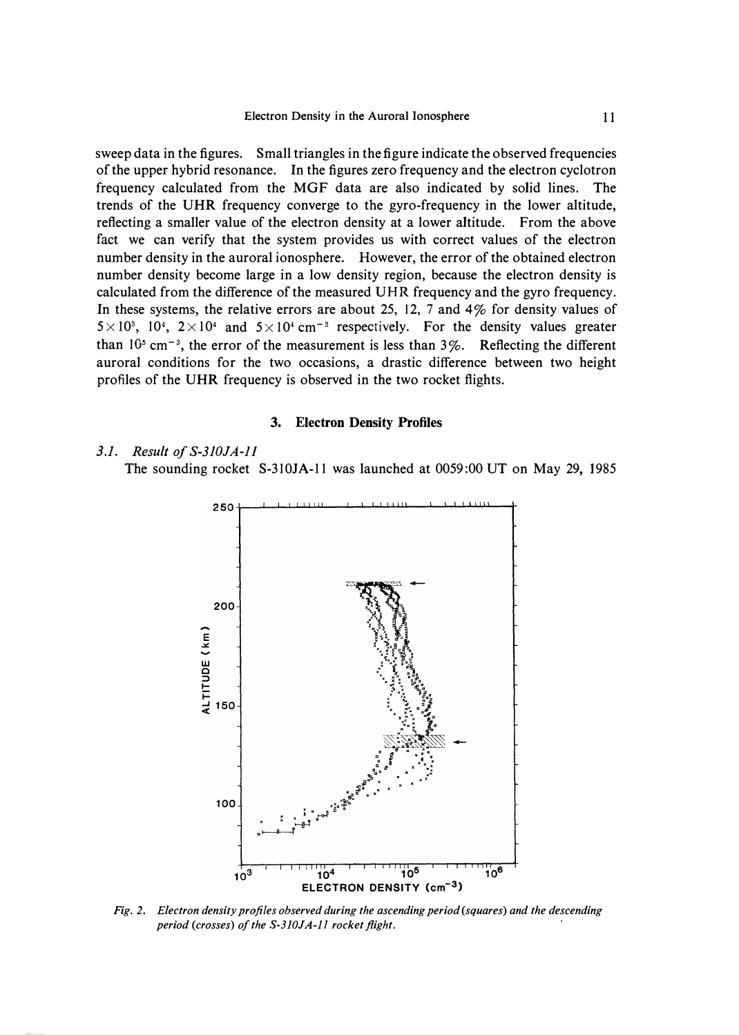sweep data in the figures. Small triangles in the figure indicate the observed frequencies of the upper hybrid resonance. In the figures zero frequency and the electron cyclotron frequency calculated from the MGF data are also indicated by solid lines. The trends of the UHR frequency converge to the gyro-frequency in the lower altitude, reflecting a smaller value of the electron density at a lower altitude. From the above fact we can verify that the system provides us with correct values of the electron number density in the auroral ionosphere. However, the error of the obtained electron number density become large in a low density region, because the electron density is calculated from the difference of the measured UHR frequency and the gyro frequency. In these systems, the relative errors are about 25, 12, 7 and 4% for density values of  $5 \times 10^3$ ,  $10^4$ ,  $2 \times 10^4$  and  $5 \times 10^4$  cm<sup>-3</sup> respectively. For the density values greater than  $10<sup>5</sup>$  cm<sup>-3</sup>, the error of the measurement is less than  $3\%$ . Reflecting the different auroral conditions for the two occasions, a drastic difference between two height profiles of the UHR frequency is observed in the two rocket flights.

### **3. Electron Density Profiles**

## *3.1. Result of S-3JOJA-Jl*

The sounding rocket S-310JA-11 was launched at  $0059:00$  UT on May 29, 1985



*Fig. 2. Electron density profiles observed during the ascending period (squares) and the descending period (crosses) of the S-310JA-l 1 rocket flight.*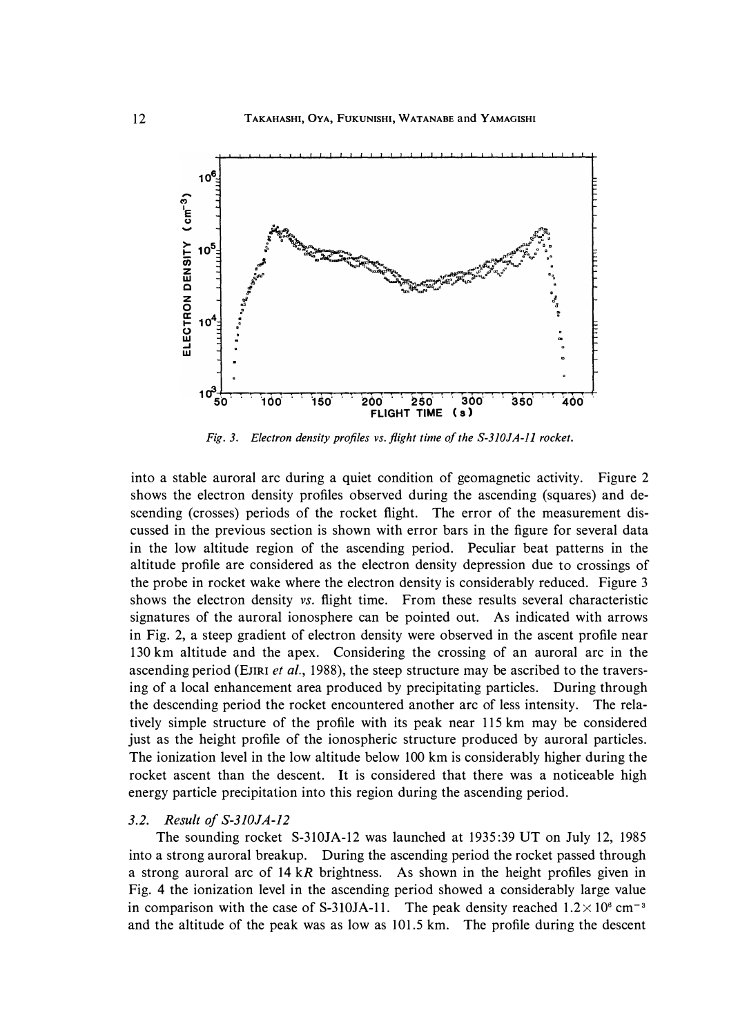

*Fig. 3. Electron density profiles vs. flight time of the S-3JOJA-ll rocket.* 

**into a stable auroral arc during a quiet condition of geomagnetic activity. Figure 2 shows the electron density profiles observed during the ascending (squares) and descending (crosses) periods of the rocket flight. The error of the measurement discussed in the previous section is shown with error bars in the figure for several data in the low altitude region of the ascending period. Peculiar beat patterns in the altitude profile are considered as the electron density depression due to crossings of the probe in rocket wake where the electron density is considerably reduced. Figure 3 shows the electron density** *vs.* **flight time. From these results several characteristic signatures of the auroral ionosphere can be pointed out. As indicated with arrows in Fig. 2, a steep gradient of electron density were observed in the ascent profile near 130 km altitude and the apex. Considering the crossing of an auroral arc in the ascending period (EJIRI** *et al.,* **1988), the steep structure may be ascribed to the traversing of a local enhancement area produced by precipitating particles. During through the descending period the rocket encountered another arc of less intensity. The relatively simple structure of the profile with its peak near 115 km may be considered just as the height profile of the ionospheric structure produced by auroral particles. The ionization level in the low altitude below 100 km is considerably higher during the rocket ascent than the descent. It is considered that there was a noticeable high energy particle precipitation into this region during the ascending period.** 

### *3.2. Result of S-3JOJA-12*

**The sounding rocket S-310JA-12 was launched at 1935:39 UT on July 12, 1985 into a strong auroral breakup. During the ascending period the rocket passed through a strong auroral arc of 14** *kR* **brightness. As shown in the height profiles given in Fig. 4 the ionization level in the ascending period showed a considerably large value**  in comparison with the case of S-310JA-11. The peak density reached  $1.2 \times 10^8$  cm<sup>-3</sup> **and the altitude of the peak was as low as 101.5 km. The profile during the descent**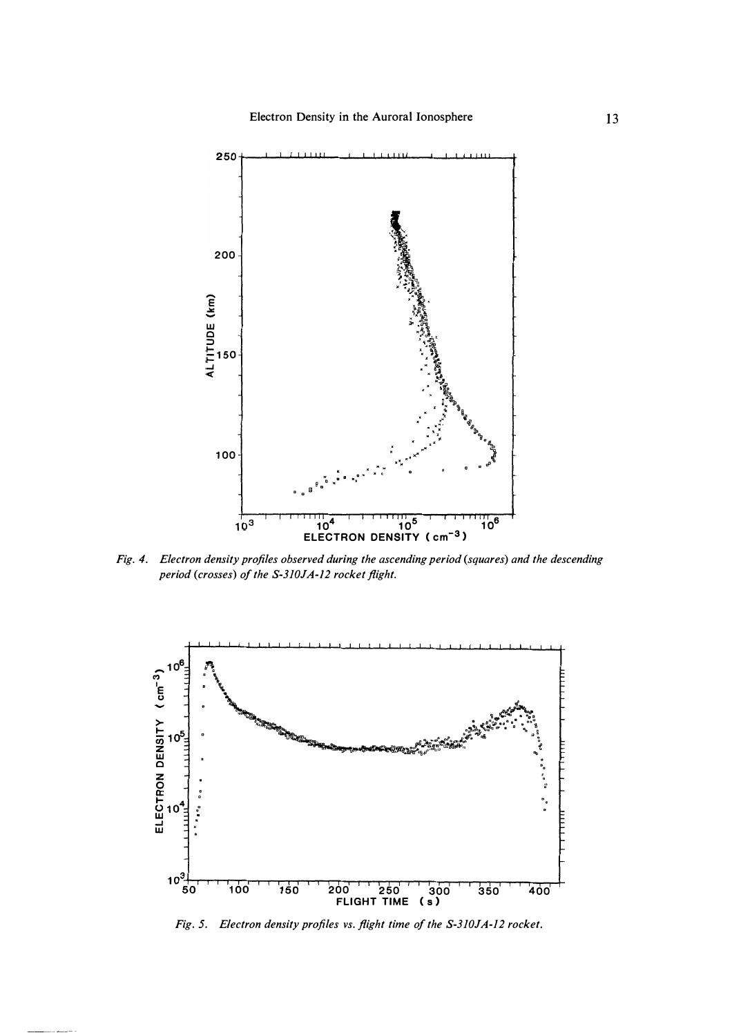

*Fig. 4. Electron density profiles observed during the ascending period (squares) and the descending period (crosses) of the S-3JOJA-l 2 rocket flight.* 



*Fig.* 5. *Electron density profiles vs. flight time of the S-3JOJA-12 rocket.*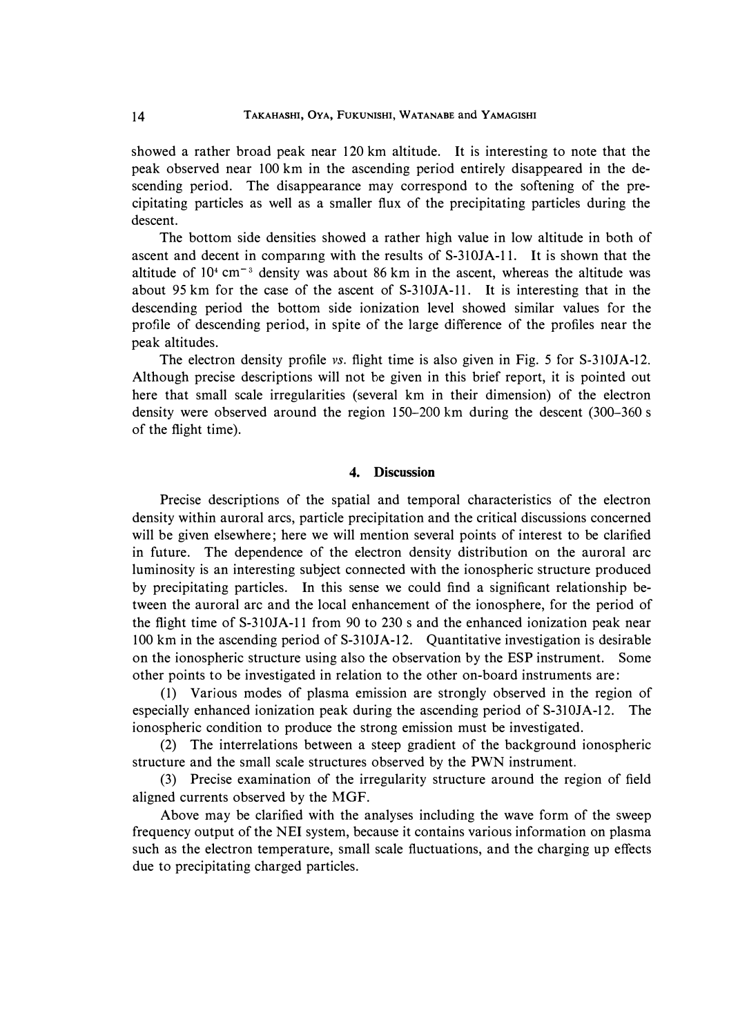**showed a rather broad peak near 120 km altitude. It is interesting to note that the peak observed near 100 km in the ascending period entirely disappeared in the descending period. The disappearance may correspond to the softening of the precipitating particles as well as a smaller flux of the precipitating particles during the descent.** 

**The bottom side densities showed a rather high value in low altitude in both of ascent and decent in comparing with the results of S-3 lOJA-11. It is shown that the altitude of 10<sup>4</sup>cm-** *<sup>3</sup>***density was about 86 km in the ascent, whereas the altitude was about 95 km for the case of the ascent of S-3IOJA-11. It is interesting that in the descending period the bottom side ionization level showed similar values for the profile of descending period, in spite of the large difference of the profiles near the peak altitudes.** 

**The electron density profile** *vs.* **flight time is also given in Fig. 5 for S-3IOJA-12. Although precise descriptions will not be given in this brief report, it is pointed out here that small scale irregularities (several km in their dimension) of the electron density were observed around the region 150-200 km during the descent (300-360 s of the flight time).** 

# **4. Discussion**

**Precise descriptions of the spatial and temporal characteristics of the electron density within auroral arcs, particle precipitation and the critical discussions concerned will be given elsewhere; here we will mention several points of interest to be clarified in future. The dependence of the electron density distribution on the auroral arc luminosity is an interesting subject connected with the ionospheric structure produced by precipitating particles. In this sense we could find a significant relationship between the auroral arc and the local enhancement of the ionosphere, for the period of the flight time of S-3IOJA-11 from 90 to 230 s and the enhanced ionization peak near 100 km in the ascending period of S-310JA-12. Quantitative investigation is desirable on the ionospheric structure using also the observation by the ESP instrument. Some other points to be investigated in relation to the other on-board instruments are:** 

**(1) Various modes of plasma emission are strongly observed in the region of especially enhanced ionization peak during the ascending period of S-310JA-12. The ionospheric condition to produce the strong emission must be investigated.** 

**(2) The interrelations between a steep gradient of the background ionospheric structure and the small scale structures observed by the PWN instrument.** 

**(3) Precise examination of the irregularity structure around the region of field aligned currents observed by the MGF.** 

**Above may be clarified with the analyses including the wave form of the sweep frequency output of the NEI system, because it contains various information on plasma such as the electron temperature, small scale fluctuations, and the charging up effects due to precipitating charged particles.**